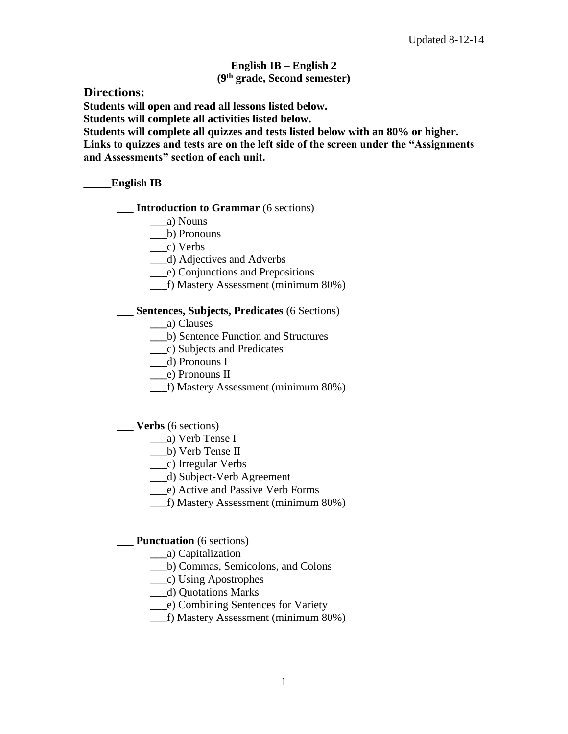## **English IB – English 2 (9th grade, Second semester)**

**Directions:** 

**Students will open and read all lessons listed below.**

**Students will complete all activities listed below.** 

**Students will complete all quizzes and tests listed below with an 80% or higher. Links to quizzes and tests are on the left side of the screen under the "Assignments and Assessments" section of each unit.** 

## **\_\_\_\_\_English IB**

- **\_\_\_ Introduction to Grammar** (6 sections)
	- \_\_\_a) Nouns
	- \_\_\_b) Pronouns

\_\_\_c) Verbs

- \_\_\_d) Adjectives and Adverbs
- \_\_\_e) Conjunctions and Prepositions
- \_\_\_f) Mastery Assessment (minimum 80%)

## **\_\_\_ Sentences, Subjects, Predicates** (6 Sections)

- **\_\_\_**a) Clauses
- **\_\_\_**b) Sentence Function and Structures
- **\_\_\_**c) Subjects and Predicates
- **\_\_\_**d) Pronouns I
- **\_\_\_**e) Pronouns II
- **\_\_\_**f) Mastery Assessment (minimum 80%)

# **\_\_\_ Verbs** (6 sections)

- \_\_\_a) Verb Tense I
- \_\_\_b) Verb Tense II
- \_\_\_c) Irregular Verbs
- \_\_\_d) Subject-Verb Agreement
- \_\_\_e) Active and Passive Verb Forms
- \_\_\_f) Mastery Assessment (minimum 80%)

### **Punctuation** (6 sections)

- **\_\_\_**a) Capitalization
- \_\_\_b) Commas, Semicolons, and Colons
- \_\_\_c) Using Apostrophes
- \_\_\_d) Quotations Marks
- \_\_\_e) Combining Sentences for Variety
- \_\_\_f) Mastery Assessment (minimum 80%)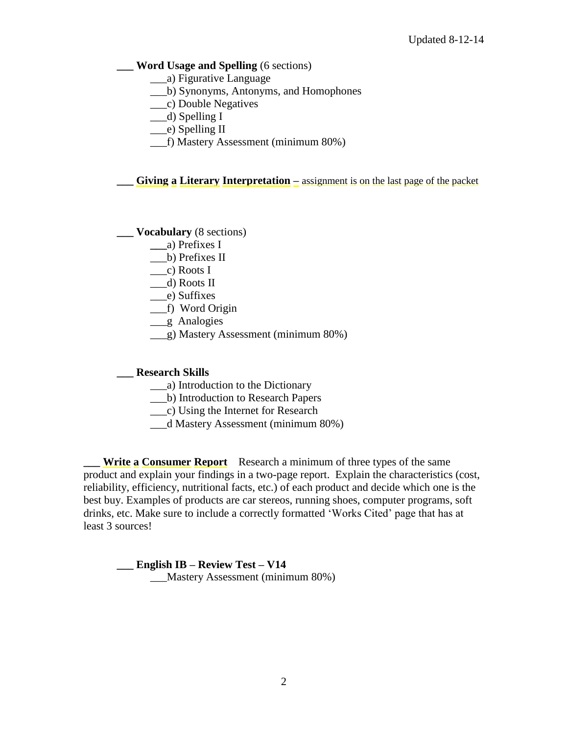#### **\_\_\_ Word Usage and Spelling** (6 sections)

- \_\_\_a) Figurative Language
- \_\_\_b) Synonyms, Antonyms, and Homophones
- \_\_\_c) Double Negatives
- \_\_\_d) Spelling I
- \_\_\_e) Spelling II
- \_\_\_f) Mastery Assessment (minimum 80%)

**\_\_\_ Giving a Literary Interpretation –** assignment is on the last page of the packet

#### **\_\_\_ Vocabulary** (8 sections)

- **\_\_\_**a) Prefixes I
- \_\_\_b) Prefixes II
- $\Box$ c) Roots I
- \_\_\_d) Roots II
- \_\_\_e) Suffixes
- \_\_\_f) Word Origin
- \_\_\_g Analogies
- \_\_\_g) Mastery Assessment (minimum 80%)

#### **\_\_\_ Research Skills**

- \_\_\_a) Introduction to the Dictionary
- \_\_\_b) Introduction to Research Papers
- \_\_\_c) Using the Internet for Research
- \_\_\_d Mastery Assessment (minimum 80%)

**Write a Consumer Report** Research a minimum of three types of the same product and explain your findings in a two-page report. Explain the characteristics (cost, reliability, efficiency, nutritional facts, etc.) of each product and decide which one is the best buy. Examples of products are car stereos, running shoes, computer programs, soft drinks, etc. Make sure to include a correctly formatted 'Works Cited' page that has at least 3 sources!

**\_\_\_ English IB – Review Test – V14**  \_\_\_Mastery Assessment (minimum 80%)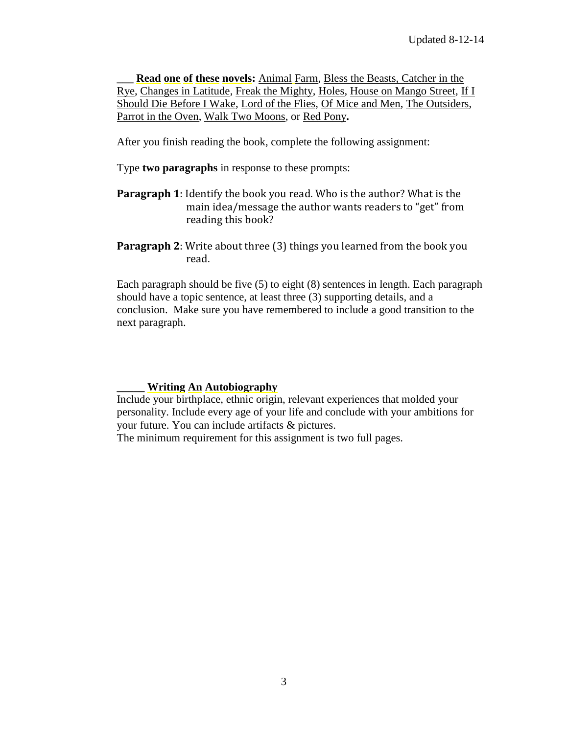**\_\_\_ Read one of these novels:** Animal Farm, Bless the Beasts, Catcher in the Rye, Changes in Latitude, Freak the Mighty, Holes, House on Mango Street, If I Should Die Before I Wake, Lord of the Flies, Of Mice and Men, The Outsiders, Parrot in the Oven, Walk Two Moons, or Red Pony**.** 

After you finish reading the book, complete the following assignment:

Type **two paragraphs** in response to these prompts:

**Paragraph 1**: Identify the book you read. Who is the author? What is the main idea/message the author wants readers to "get" from reading this book?

**Paragraph 2**: Write about three (3) things you learned from the book you read.

Each paragraph should be five (5) to eight (8) sentences in length. Each paragraph should have a topic sentence, at least three (3) supporting details, and a conclusion. Make sure you have remembered to include a good transition to the next paragraph.

#### **\_\_\_\_\_ Writing An Autobiography**

Include your birthplace, ethnic origin, relevant experiences that molded your personality. Include every age of your life and conclude with your ambitions for your future. You can include artifacts & pictures.

The minimum requirement for this assignment is two full pages.